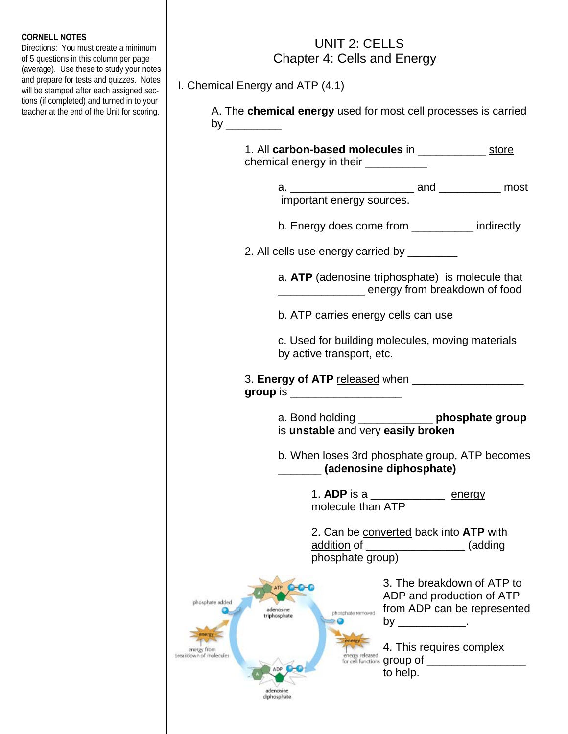## **CORNELL NOTES**

Directions: You must create a minimum of 5 questions in this column per page (average). Use these to study your notes and prepare for tests and quizzes. Notes will be stamped after each assigned sections (if completed) and turned in to your teacher at the end of the Unit for scoring.

## UNIT 2: CELLS Chapter 4: Cells and Energy

I. Chemical Energy and ATP (4.1)

 A. The **chemical energy** used for most cell processes is carried by \_\_\_\_\_\_\_\_\_

| 1. All carbon-based molecules in _______________ store<br>chemical energy in their ___________                |                                                                                                              |
|---------------------------------------------------------------------------------------------------------------|--------------------------------------------------------------------------------------------------------------|
| important energy sources.                                                                                     |                                                                                                              |
| b. Energy does come from __________ indirectly                                                                |                                                                                                              |
| 2. All cells use energy carried by _________                                                                  |                                                                                                              |
| a. ATP (adenosine triphosphate) is molecule that<br>energy from breakdown of food                             |                                                                                                              |
| b. ATP carries energy cells can use                                                                           |                                                                                                              |
| c. Used for building molecules, moving materials<br>by active transport, etc.                                 |                                                                                                              |
| group is $\sqrt{2\pi}$                                                                                        |                                                                                                              |
| a. Bond holding ______________ phosphate group<br>is unstable and very easily broken                          |                                                                                                              |
| b. When loses 3rd phosphate group, ATP becomes<br>(adenosine diphosphate)                                     |                                                                                                              |
| 1. ADP is a __________________ energy<br>molecule than ATP                                                    |                                                                                                              |
| 2. Can be converted back into ATP with<br><u>addition</u> of ____________________ (adding<br>phosphate group) |                                                                                                              |
| phosphate added<br>adenosine<br>phosphate removed<br>triphosphate                                             | 3. The breakdown of ATP to<br>ADP and production of ATP<br>from ADP can be represented<br>by ______________. |
| energy<br>energy from<br>breakdown of molecules<br>energy released<br>ADP<br>to help.                         | 4. This requires complex<br>for cell functions <b>group of</b>                                               |
| adenosine<br>diphosphate                                                                                      |                                                                                                              |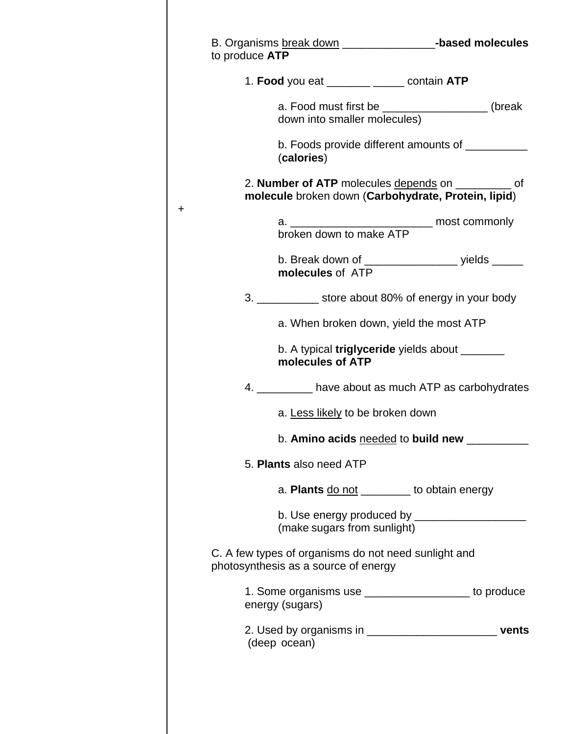|                                                                                              | B. Organisms break down ____________________-based molecules                                               |
|----------------------------------------------------------------------------------------------|------------------------------------------------------------------------------------------------------------|
|                                                                                              |                                                                                                            |
| 1. Food you eat ________ ______ contain ATP                                                  |                                                                                                            |
|                                                                                              | a. Food must first be __________________(break down into smaller molecules)                                |
| (calories)                                                                                   | b. Foods provide different amounts of __________                                                           |
|                                                                                              | 2. Number of ATP molecules depends on __________ of<br>molecule broken down (Carbohydrate, Protein, lipid) |
|                                                                                              | a. ___________________________________ most commonly                                                       |
| broken down to make ATP                                                                      |                                                                                                            |
| molecules of ATP                                                                             | b. Break down of ______________________ yields ______                                                      |
|                                                                                              | 3. ______________ store about 80% of energy in your body                                                   |
|                                                                                              | a. When broken down, yield the most ATP                                                                    |
| molecules of ATP                                                                             | b. A typical <b>triglyceride</b> yields about _______                                                      |
|                                                                                              | 4. __________ have about as much ATP as carbohydrates                                                      |
| a. Less likely to be broken down                                                             |                                                                                                            |
|                                                                                              | b. Amino acids needed to build new _____                                                                   |
| 5. Plants also need ATP                                                                      |                                                                                                            |
|                                                                                              | a. Plants do not _________ to obtain energy                                                                |
| (make sugars from sunlight)                                                                  |                                                                                                            |
| C. A few types of organisms do not need sunlight and<br>photosynthesis as a source of energy |                                                                                                            |
| energy (sugars)                                                                              | 1. Some organisms use ____________________ to produce                                                      |
|                                                                                              | 2. Used by organisms in _________________________________ vents                                            |
|                                                                                              | to produce ATP                                                                                             |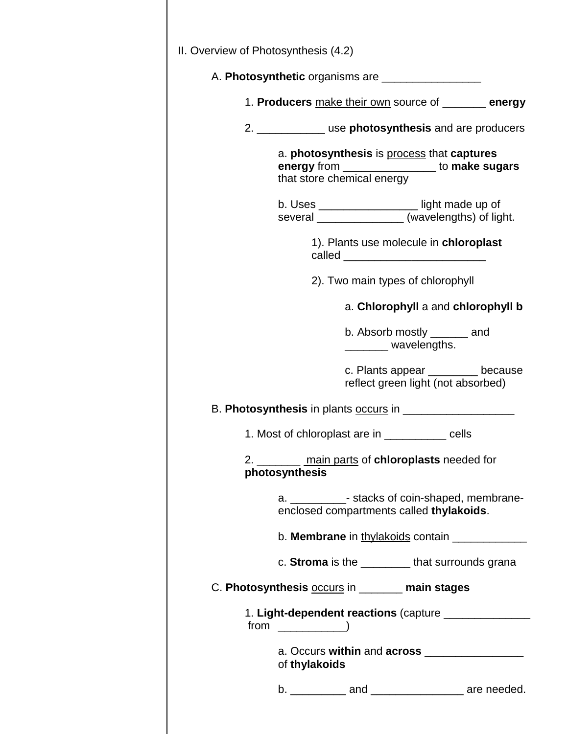| II. Overview of Photosynthesis (4.2)                     |                            |  |                                                                                                 |  |
|----------------------------------------------------------|----------------------------|--|-------------------------------------------------------------------------------------------------|--|
|                                                          |                            |  | A. Photosynthetic organisms are _________________                                               |  |
|                                                          |                            |  | 1. Producers make their own source of _______ energy                                            |  |
|                                                          |                            |  | 2. ______________ use photosynthesis and are producers                                          |  |
|                                                          | that store chemical energy |  | a. photosynthesis is process that captures<br>energy from ________________ to make sugars       |  |
|                                                          |                            |  | b. Uses ___________________light made up of<br>several ________________(wavelengths) of light.  |  |
|                                                          |                            |  | 1). Plants use molecule in chloroplast                                                          |  |
|                                                          |                            |  | 2). Two main types of chlorophyll                                                               |  |
|                                                          |                            |  | a. Chlorophyll a and chlorophyll b                                                              |  |
|                                                          |                            |  | b. Absorb mostly _______ and<br>_________ wavelengths.                                          |  |
|                                                          |                            |  | c. Plants appear _______ because<br>reflect green light (not absorbed)                          |  |
|                                                          |                            |  |                                                                                                 |  |
|                                                          |                            |  | 1. Most of chloroplast are in ____________ cells                                                |  |
|                                                          | photosynthesis             |  | 2. _________ main parts of chloroplasts needed for                                              |  |
|                                                          |                            |  | a. ______________- stacks of coin-shaped, membrane-<br>enclosed compartments called thylakoids. |  |
| b. <b>Membrane</b> in thylakoids contain _______________ |                            |  |                                                                                                 |  |
|                                                          |                            |  | c. Stroma is the _________ that surrounds grana                                                 |  |
|                                                          |                            |  | C. Photosynthesis occurs in ______ main stages                                                  |  |
|                                                          |                            |  |                                                                                                 |  |
|                                                          | of thylakoids              |  | a. Occurs within and across _______________                                                     |  |
|                                                          |                            |  | b. ____________ and ____________________ are needed.                                            |  |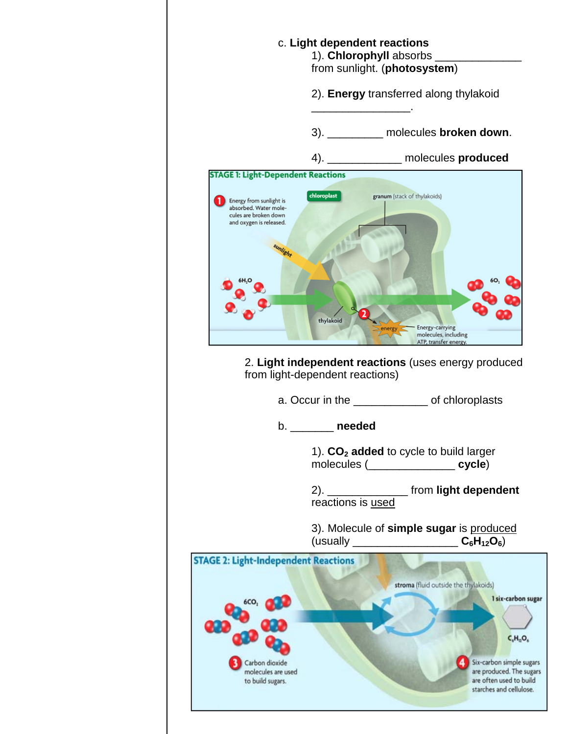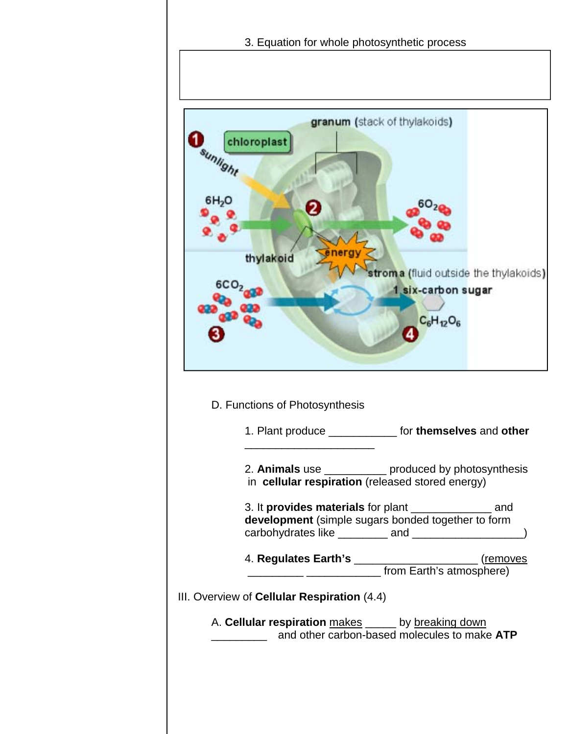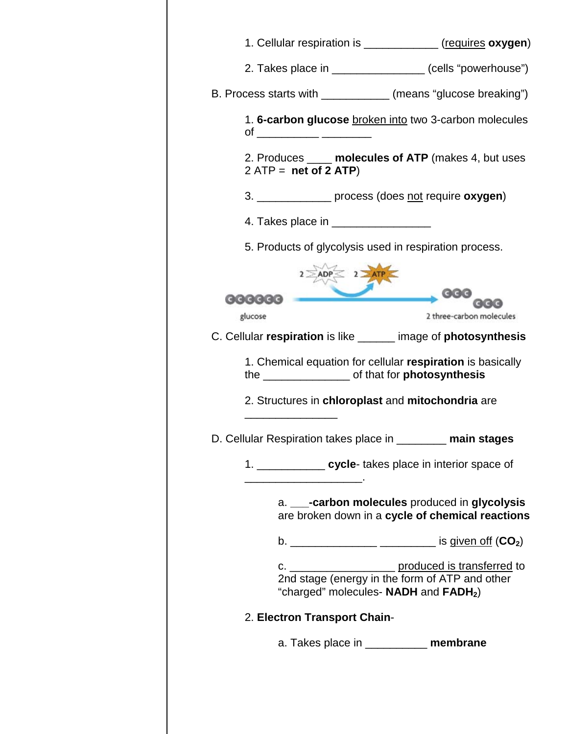| 1. Cellular respiration is ______________ (requires oxygen)                                                                                                                        |  |  |  |  |
|------------------------------------------------------------------------------------------------------------------------------------------------------------------------------------|--|--|--|--|
| 2. Takes place in ________________ (cells "powerhouse")                                                                                                                            |  |  |  |  |
| B. Process starts with ____________ (means "glucose breaking")                                                                                                                     |  |  |  |  |
| 1. 6-carbon glucose broken into two 3-carbon molecules<br>of ____________ ________                                                                                                 |  |  |  |  |
| 2. Produces _____ molecules of ATP (makes 4, but uses<br>$2$ ATP = net of 2 ATP)                                                                                                   |  |  |  |  |
| 3. ________________ process (does not require oxygen)                                                                                                                              |  |  |  |  |
| 4. Takes place in _____________________                                                                                                                                            |  |  |  |  |
| 5. Products of glycolysis used in respiration process.                                                                                                                             |  |  |  |  |
| $ADP \leq 2$ ATP                                                                                                                                                                   |  |  |  |  |
| 000000                                                                                                                                                                             |  |  |  |  |
| glucose<br>2 three-carbon molecules                                                                                                                                                |  |  |  |  |
| C. Cellular respiration is like _____ image of photosynthesis                                                                                                                      |  |  |  |  |
| 1. Chemical equation for cellular respiration is basically                                                                                                                         |  |  |  |  |
| 2. Structures in chloroplast and mitochondria are                                                                                                                                  |  |  |  |  |
| D. Cellular Respiration takes place in __<br>main stages                                                                                                                           |  |  |  |  |
| 1. ______________ cycle- takes place in interior space of<br><u> 1989 - Johann Barn, mars ann an t-Amhair an t-Amhair an t-Amhair an t-Amhair an t-Amhair an t-Amhair an t-Amh</u> |  |  |  |  |
| a. ___-carbon molecules produced in glycolysis<br>are broken down in a cycle of chemical reactions                                                                                 |  |  |  |  |
| b. _________________ _____________ is given off $(CO_2)$                                                                                                                           |  |  |  |  |
| "charged" molecules- NADH and FADH <sub>2</sub> )                                                                                                                                  |  |  |  |  |
| 2. Electron Transport Chain-                                                                                                                                                       |  |  |  |  |
| a. Takes place in ____________ membrane                                                                                                                                            |  |  |  |  |
|                                                                                                                                                                                    |  |  |  |  |
|                                                                                                                                                                                    |  |  |  |  |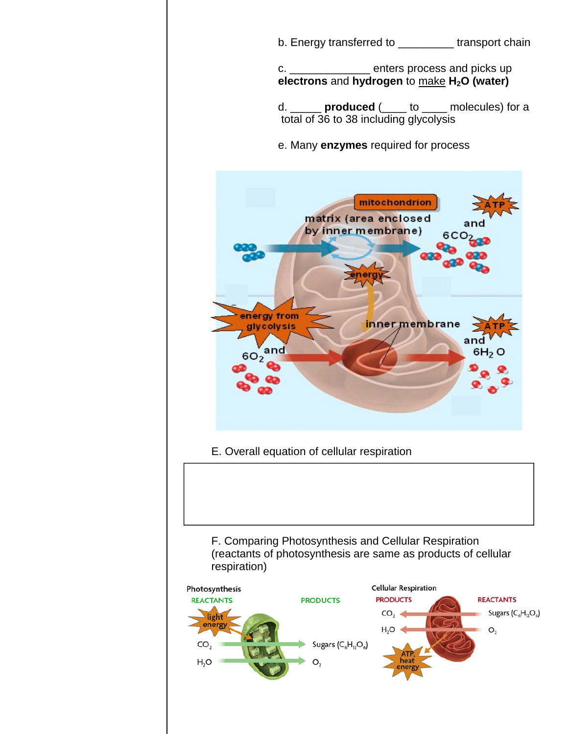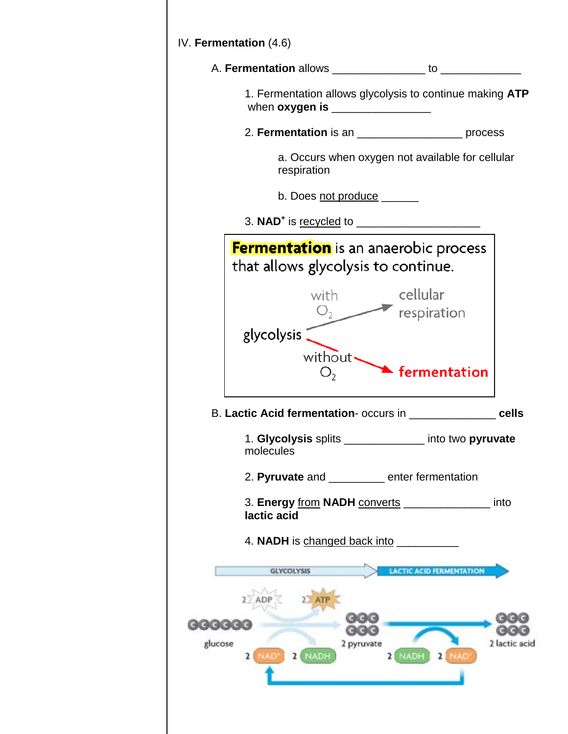